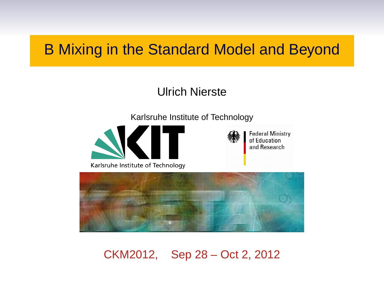# B Mixing in the Standard Model and Beyond

#### Ulrich Nierste

Karlsruhe Institute of Technology

**Federal Ministry** of Education and Research



Karlsruhe Institute of Technology



CKM2012, Sep 28 – Oct 2, 2012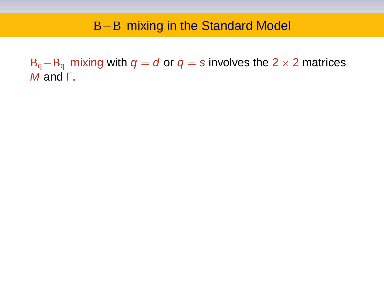## B−B mixing in the Standard Model

 $B_q-\overline{B}_q$  mixing with  $q = d$  or  $q = s$  involves the 2 × 2 matrices M and Γ.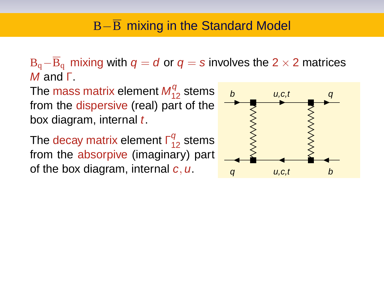$B_q-\overline{B}_q$  mixing with  $q = d$  or  $q = s$  involves the 2 × 2 matrices M and Γ.

The mass matrix element  $\mathcal{M}^q_{12}$  stems from the dispersive (real) part of the box diagram, internal  $t$ .

The decay matrix element  $\mathsf{\Gamma}_{12}^q$  stems from the absorpive (imaginary) part of the box diagram, internal  $c, u$ .

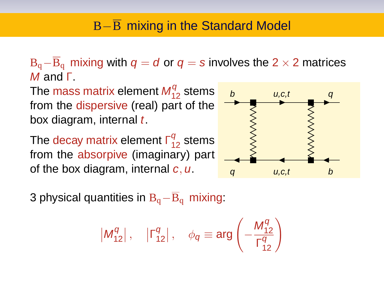$B_q-\overline{B}_q$  mixing with  $q = d$  or  $q = s$  involves the 2 × 2 matrices M and Γ.

The mass matrix element  $\mathcal{M}^q_{12}$  stems from the dispersive (real) part of the box diagram, internal  $t$ .

The decay matrix element  $\mathsf{\Gamma}_{12}^q$  stems from the absorpive (imaginary) part of the box diagram, internal  $c, u$ .



3 physical quantities in  $B_q-\overline{B}_q$  mixing:

$$
\left| M_{12}^q \right|, \quad \left| \Gamma_{12}^q \right|, \quad \phi_q \equiv \arg \left( - \frac{M_{12}^q}{\Gamma_{12}^q} \right)
$$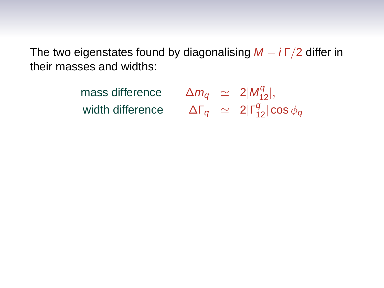The two eigenstates found by diagonalising  $M - i\Gamma/2$  differ in their masses and widths:

> mass difference  $\frac{q}{12}$ width difference  $\frac{q}{12}|\cos\phi_q$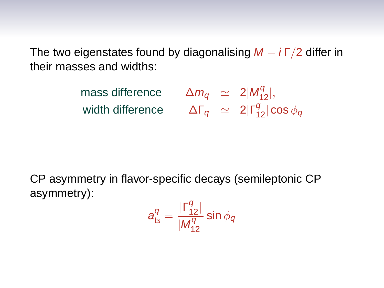The two eigenstates found by diagonalising  $M - i \Gamma/2$  differ in their masses and widths:

> mass difference  $\frac{q}{12}$ width difference  $\frac{q}{12}|\cos\phi_q$

CP asymmetry in flavor-specific decays (semileptonic CP asymmetry):

$$
\mathbf{a}_{\rm fs}^q = \frac{|\Gamma_{12}^q|}{|M_{12}^q|} \sin \phi_q
$$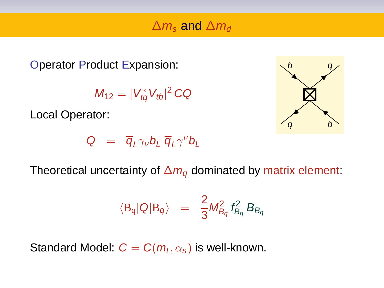### $\Delta m_s$  and  $\Delta m_d$

Operator Product Expansion:

$$
M_{12}=|V_{tq}^*V_{tb}|^2\,CQ
$$

Local Operator:



$$
Q = \overline{q}_L \gamma_\nu b_L \overline{q}_L \gamma^\nu b_L
$$

Theoretical uncertainty of  $\Delta m_q$  dominated by matrix element:

$$
\langle \mathrm{B_q}|\mathrm{Q}|\overline{\mathrm{B}}_q\rangle \;\;=\;\; \frac{2}{3}M_{B_q}^2\,f_{B_q}^2\,B_{B_q}
$$

Standard Model:  $\boldsymbol{C} = \boldsymbol{C}(\boldsymbol{m}_t, \alpha_{\boldsymbol{s}})$  is well-known.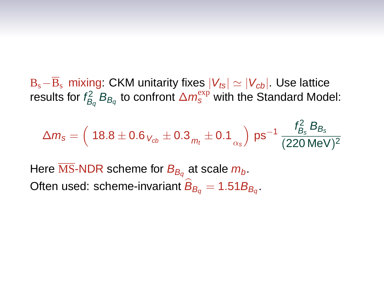$B_s-\overline{B}_s$  mixing: CKM unitarity fixes  $|V_{ts}| \simeq |V_{cb}|$ . Use lattice results for  $f_{B_q}^2 B_{B_q}$  to confront  $\Delta m_s^{\rm exp}$  with the Standard Model:

$$
\Delta m_{\rm s} = \left(\ 18.8 \pm 0.6\, {}_{V_{cb}} \pm 0.3\, {}_{m_{t}} \pm 0.1\, {}_{\alpha_{\rm s}}\right)\,{\rm ps}^{-1}\,\frac{f^2_{B_{\rm s}}\,B_{B_{\rm s}}}{(220\,{\rm MeV})^2}
$$

Here  $\overline{\text{MS}}$ -NDR scheme for  $B_{B_q}$  at scale  $m_b$ . Often used: scheme-invariant  $B_{B_q} = 1.51 B_{B_q}$ .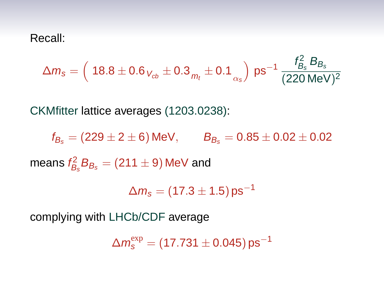Recall:

$$
\Delta m_{\text{s}} = \left(\ 18.8 \pm 0.6 \, \gamma_{\text{cb}} \pm 0.3 \, \text{m}_t \pm 0.1 \, \text{m}_s \right) \, \text{ps}^{-1} \, \frac{f_{B_s}^2 \, B_{B_s}}{(220 \, \text{MeV})^2}
$$

CKMfitter lattice averages (1203.0238):

 $f_{B_6} = (229 \pm 2 \pm 6)$  MeV,  $B_{B_6} = 0.85 \pm 0.02 \pm 0.02$ means  $\mathit{f}_{\mathit{B}_{\mathit{s}}}^2\mathit{B}_{\mathit{B}_{\mathit{s}}} = (211 \pm 9)\,\textsf{MeV}$  and

 $\Delta m_{\rm s} = (17.3 \pm 1.5)\,\text{ps}^{-1}$ 

complying with LHCb/CDF average

 $\Delta m_{\rm s}^{\rm exp}=(17.731\pm0.045)\,\text{ps}^{-1}$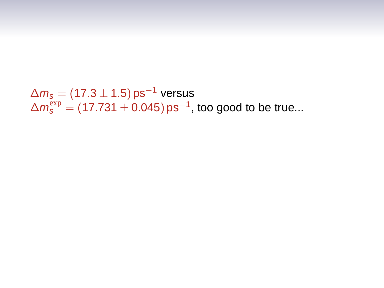```
\Delta m_s = (17.3 \pm 1.5) \,\text{ps}^{-1} versus
\Delta m_{\rm s}^{\rm exp} = (17.731 \pm 0.045)\,\text{ps}^{-1}, too good to be true...
```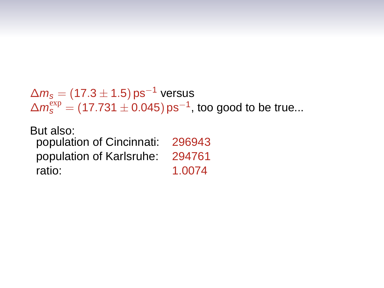```
\Delta m_s = (17.3 \pm 1.5) \,\text{ps}^{-1} versus
\Delta m_{\rm s}^{\rm exp} = (17.731 \pm 0.045)\,\text{ps}^{-1}, too good to be true...
```
But also: population of Cincinnati: 296943 population of Karlsruhe: 294761 ratio: 1.0074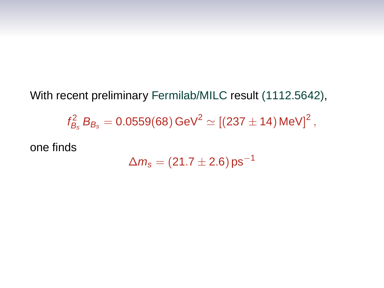With recent preliminary Fermilab/MILC result (1112.5642),  $f_{B_{\rm s}}^2 B_{B_{\rm s}} = 0.0559(68) \, \text{GeV}^2 \simeq [(237 \pm 14) \, \text{MeV}]^2 \, ,$ one finds

$$
\Delta m_{\rm s} = (21.7 \pm 2.6)\,\text{ps}^{-1}
$$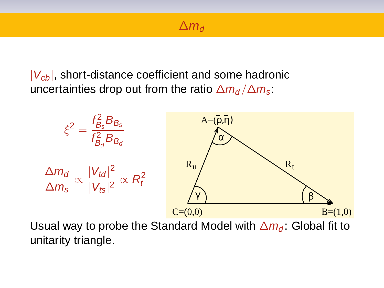#### $\Delta m_d$

 $|V_{cb}|$ , short-distance coefficient and some hadronic uncertainties drop out from the ratio  $\Delta m_d / \Delta m_s$ .



Usual way to probe the Standard Model with  $\Delta m_d$ : Global fit to unitarity triangle.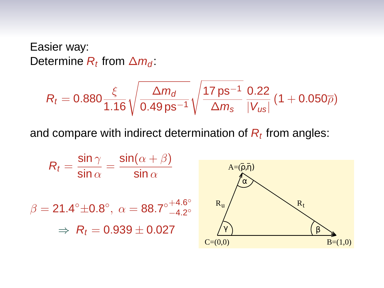## Easier way: Determine  $R_t$  from  $\Delta m_d$ :

$$
R_t = 0.880 \frac{\xi}{1.16} \sqrt{\frac{\Delta m_d}{0.49 \,\text{ps}^{-1}}} \sqrt{\frac{17 \,\text{ps}^{-1}}{\Delta m_s}} \frac{0.22}{|V_{us}|} \left(1 + 0.050 \overline{\rho}\right)
$$

and compare with indirect determination of  $R_t$  from angles:

$$
R_{t} = \frac{\sin \gamma}{\sin \alpha} = \frac{\sin(\alpha + \beta)}{\sin \alpha}
$$
  
\n
$$
\beta = 21.4^{\circ} \pm 0.8^{\circ}, \ \alpha = 88.7^{\circ} \stackrel{+4.6^{\circ}}{-4.2^{\circ}}
$$
  
\n
$$
\Rightarrow R_{t} = 0.939 \pm 0.027
$$
  
\n
$$
C=(0,0)
$$
  
\n
$$
R_{t}
$$
  
\n
$$
R_{t}
$$
  
\n
$$
R_{t}
$$
  
\n
$$
R_{t}
$$
  
\n
$$
R_{t}
$$
  
\n
$$
R_{t}
$$
  
\n
$$
R_{t}
$$
  
\n
$$
R_{t}
$$
  
\n
$$
R_{t}
$$
  
\n
$$
R_{t}
$$
  
\n
$$
R_{t}
$$
  
\n
$$
R_{t}
$$
  
\n
$$
R_{t}
$$
  
\n
$$
R_{t}
$$
  
\n
$$
R_{t}
$$
  
\n
$$
R_{t}
$$
  
\n
$$
R_{t}
$$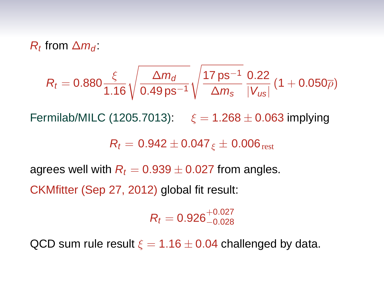$R_t$  from  $\Delta m_d$ :

$$
R_t=0.880\frac{\xi}{1.16}\sqrt{\frac{\Delta m_d}{0.49\,\text{ps}^{-1}}}\sqrt{\frac{17\,\text{ps}^{-1}}{\Delta m_s}}\frac{0.22}{|V_{us}|}\,(1+0.050\overline{\rho})
$$

Fermilab/MILC (1205.7013):  $\xi = 1.268 \pm 0.063$  implying

 $R_t = 0.942 \pm 0.047$   $\epsilon \pm 0.006$  rest

agrees well with  $R_t = 0.939 \pm 0.027$  from angles.

CKMfitter (Sep 27, 2012) global fit result:

 $R_t = 0.926^{+0.027}_{-0.028}$ 

QCD sum rule result  $\xi = 1.16 \pm 0.04$  challenged by data.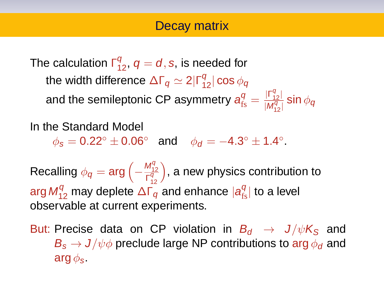## Decay matrix

The calculation  $\mathsf{\Gamma}_{12}^q,\, q=d,s,$  is needed for the width difference  $\Delta \mathsf{\Gamma}_q\simeq 2|\mathsf{\Gamma}^q_{12}|$  cos  $\phi_q$ and the semileptonic CP asymmetry  $a^q_\text{fs} = \frac{|\Gamma^q_{12}|}{|M^q_{12}|}$  $\frac{1!}{|M_{12}^q|}$  sin  $\phi_q$ 

In the Standard Model

 $\phi_{\mathcal{S}} = 0.22^{\circ} \pm 0.06^{\circ}$  and  $\phi_{\mathcal{d}} = -4.3^{\circ} \pm 1.4^{\circ}$ .

Recalling  $\phi_q = \arg \left( - \frac{M_{12}^q}{\Gamma_{12}^q} \right)$ ), a new physics contribution to arg  $M_{12}^q$  may deplete  $\Delta\Gamma_q$  and enhance  $|\boldsymbol{a}_{fs}^q|$  to a level observable at current experiments.

But: Precise data on CP violation in  $B_d \rightarrow J/\psi K_S$  and  $B_s \rightarrow J/\psi \phi$  preclude large NP contributions to arg  $\phi_d$  and arg  $\phi_s$ .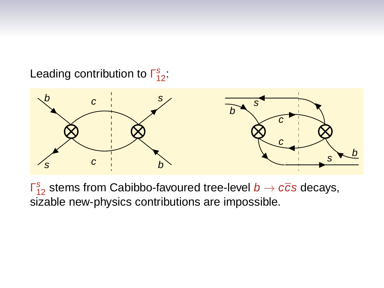Leading contribution to  $\Gamma_{12}^s$ :



 $\mathsf{F}_{12}^s$  stems from Cabibbo-favoured tree-level  $b\to c\overline{c}$ s decays, sizable new-physics contributions are impossible.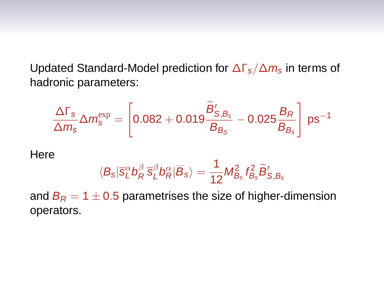Updated Standard-Model prediction for  $\Delta\Gamma_s/\Delta m_s$  in terms of hadronic parameters:

$$
\frac{\Delta\Gamma_s}{\Delta m_s}\Delta m_s^{\text{exp}}=\left[0.082+0.019\frac{\widetilde{B}'_{S,B_s}}{B_{B_S}}-0.025\frac{B_R}{B_{B_s}}\right]\,ps^{-1}
$$

**Here** 

$$
\langle B_s|\overline{s}_{L}^{\alpha}b_{R}^{\beta}\,\overline{s}_{L}^{\beta}b_{R}^{\alpha}|\overline{B}_s\rangle=\frac{1}{12}M_{B_s}^2\,f_{B_s}^2\widetilde{B}_{S,B_s}'
$$

and  $B_R = 1 \pm 0.5$  parametrises the size of higher-dimension operators.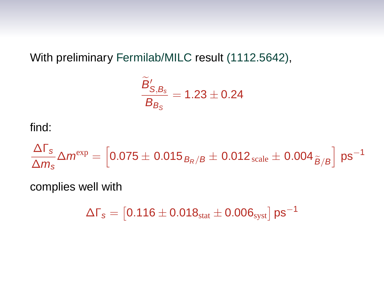With preliminary Fermilab/MILC result (1112.5642),

$$
\frac{\widetilde{B}_{S,B_s}^\prime}{B_{B_S}}=1.23\pm0.24
$$

find:

 $\Delta\Gamma$ <sub>s</sub>  $\frac{\Delta\textsf{I}}{\Delta m_{\text{s}}}\Delta m^{\text{exp}}=\left[0.075\pm0.015_{B_R/B}\pm0.012_{\text{scale}}\pm0.004_{\widetilde{B}/B}\right]\text{ps}^{-1}$ 

complies well with

 $\Delta\Gamma_s = \left[0.116\pm0.018_{\rm stat}\pm0.006_{\rm syst}\right]$   ${\sf ps}^{-1}$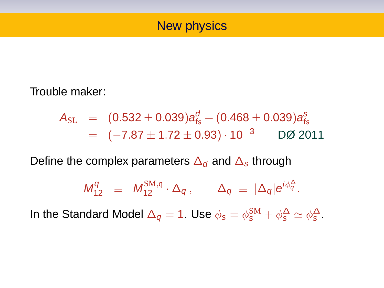### New physics

Trouble maker:

$$
\begin{array}{lll} A_{\rm SL} & = & (0.532 \pm 0.039) a_{\rm fs}^d + (0.468 \pm 0.039) a_{\rm fs}^s \\ & = & (-7.87 \pm 1.72 \pm 0.93) \cdot 10^{-3} \qquad \text{DØ 2011} \end{array}
$$

Define the complex parameters  $\Delta_d$  and  $\Delta_s$  through

$$
M_{12}^q \equiv M_{12}^{\text{SM},q} \cdot \Delta_q, \qquad \Delta_q \equiv |\Delta_q| e^{i\phi_q^{\Delta}}.
$$

In the Standard Model  $\Delta_q = 1$ . Use  $\phi_s = \phi_s^{\text{SM}} + \phi_s^{\Delta} \simeq \phi_s^{\Delta}$ .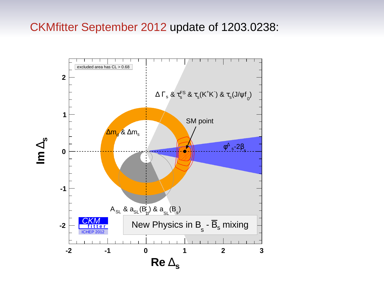#### CKMfitter September 2012 update of 1203.0238:

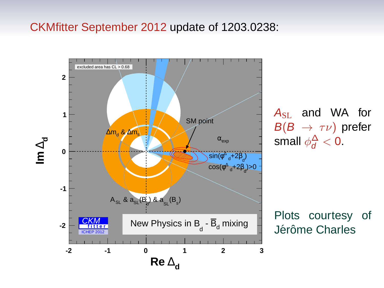#### CKMfitter September 2012 update of 1203.0238:



 $A_{\rm SL}$  and WA for  $B(B \to \tau \nu)$  prefer small  $\phi_d^{\Delta} < 0$ .

Plots courtesy of Jérôme Charles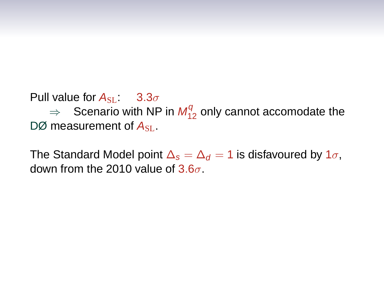Pull value for  $A_{\text{SL}}$ : 3.3 $\sigma$ 

 $\Rightarrow$  Scenario with NP in  $M_{12}^q$  only cannot accomodate the DØ measurement of  $A_{\rm SL}$ .

The Standard Model point  $\Delta_s = \Delta_d = 1$  is disfavoured by  $1\sigma$ , down from the 2010 value of  $3.6\sigma$ .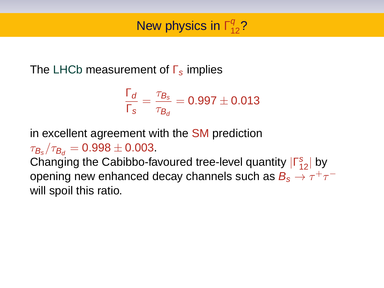## The LHCb measurement of  $\Gamma_s$  implies

$$
\frac{\Gamma_d}{\Gamma_s} = \frac{\tau_{B_s}}{\tau_{B_d}} = 0.997 \pm 0.013
$$

in excellent agreement with the SM prediction

 $\tau_{B_s}/\tau_{B_d} = 0.998 \pm 0.003.$ 

Changing the Cabibbo-favoured tree-level quantity  $|\Gamma_{12}^s|$  by opening new enhanced decay channels such as  $B_s\to\tau^+\tau^$ will spoil this ratio.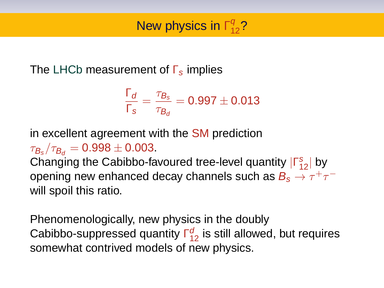## The LHCb measurement of  $\Gamma_s$  implies

$$
\frac{\Gamma_d}{\Gamma_s} = \frac{\tau_{B_s}}{\tau_{B_d}} = 0.997 \pm 0.013
$$

in excellent agreement with the SM prediction

 $\tau_{B_s}/\tau_{B_d} = 0.998 \pm 0.003.$ 

Changing the Cabibbo-favoured tree-level quantity  $|\Gamma_{12}^s|$  by opening new enhanced decay channels such as  $B_s\to\tau^+\tau^$ will spoil this ratio.

Phenomenologically, new physics in the doubly Cabibbo-suppressed quantity  $\Gamma_{12}^{d}$  is still allowed, but requires somewhat contrived models of new physics.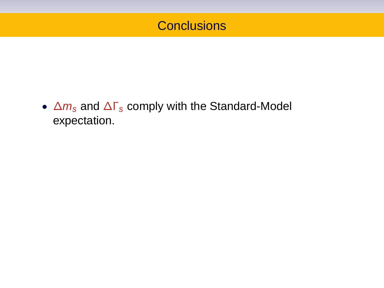## **Conclusions**

•  $\Delta m_s$  and  $\Delta \Gamma_s$  comply with the Standard-Model expectation.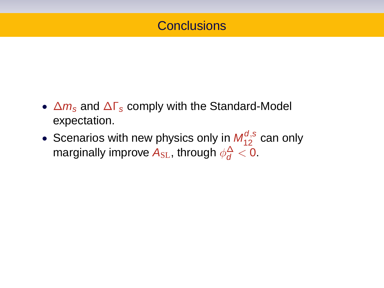## **Conclusions**

- $\Delta m_s$  and  $\Delta \Gamma_s$  comply with the Standard-Model expectation.
- Scenarios with new physics only in  $M_{12}^{d,s}$  can only marginally improve  ${\boldsymbol{A}}_{\text{SL}}$ , through  $\phi_{\boldsymbol{d}}^{\Delta} < 0.$